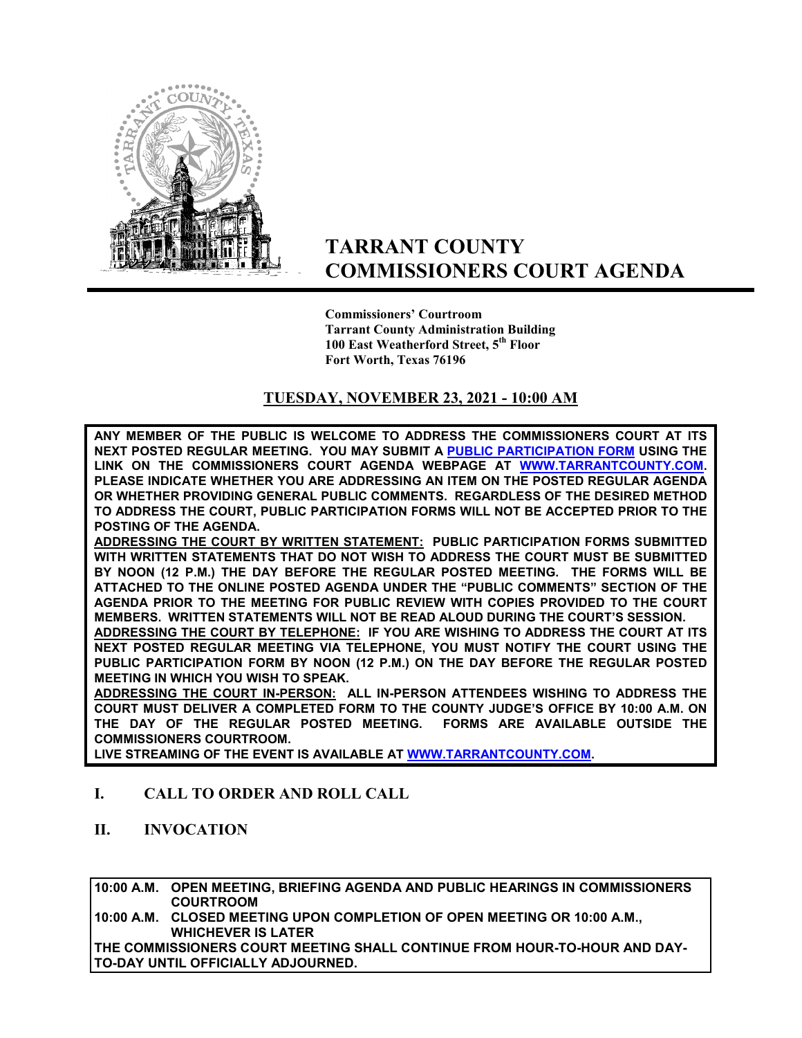

# **TARRANT COUNTY COMMISSIONERS COURT AGENDA**

**Commissioners' Courtroom Tarrant County Administration Building 100 East Weatherford Street, 5th Floor Fort Worth, Texas 76196**

### **TUESDAY, NOVEMBER 23, 2021 - 10:00 AM**

**ANY MEMBER OF THE PUBLIC IS WELCOME TO ADDRESS THE COMMISSIONERS COURT AT ITS NEXT POSTED REGULAR MEETING. YOU MAY SUBMIT A [PUBLIC PARTICIPATION FORM](https://tarrantcounty.na2.documents.adobe.com/public/esignWidget?wid=CBFCIBAA3AAABLblqZhCK1c69fO2NKkvtSrdzlVmA9KtB8oQzGyq6x4PvYBRbgzAxU5a8_HdYBGehP2t_EAc) USING THE LINK ON THE COMMISSIONERS COURT AGENDA WEBPAGE AT [WWW.TARRANTCOUNTY.COM.](http://www.tarrantcounty.com/) PLEASE INDICATE WHETHER YOU ARE ADDRESSING AN ITEM ON THE POSTED REGULAR AGENDA OR WHETHER PROVIDING GENERAL PUBLIC COMMENTS. REGARDLESS OF THE DESIRED METHOD TO ADDRESS THE COURT, PUBLIC PARTICIPATION FORMS WILL NOT BE ACCEPTED PRIOR TO THE POSTING OF THE AGENDA.** 

**ADDRESSING THE COURT BY WRITTEN STATEMENT: PUBLIC PARTICIPATION FORMS SUBMITTED WITH WRITTEN STATEMENTS THAT DO NOT WISH TO ADDRESS THE COURT MUST BE SUBMITTED BY NOON (12 P.M.) THE DAY BEFORE THE REGULAR POSTED MEETING. THE FORMS WILL BE ATTACHED TO THE ONLINE POSTED AGENDA UNDER THE "PUBLIC COMMENTS" SECTION OF THE AGENDA PRIOR TO THE MEETING FOR PUBLIC REVIEW WITH COPIES PROVIDED TO THE COURT MEMBERS. WRITTEN STATEMENTS WILL NOT BE READ ALOUD DURING THE COURT'S SESSION.** 

**ADDRESSING THE COURT BY TELEPHONE: IF YOU ARE WISHING TO ADDRESS THE COURT AT ITS NEXT POSTED REGULAR MEETING VIA TELEPHONE, YOU MUST NOTIFY THE COURT USING THE PUBLIC PARTICIPATION FORM BY NOON (12 P.M.) ON THE DAY BEFORE THE REGULAR POSTED MEETING IN WHICH YOU WISH TO SPEAK.** 

**ADDRESSING THE COURT IN-PERSON: ALL IN-PERSON ATTENDEES WISHING TO ADDRESS THE COURT MUST DELIVER A COMPLETED FORM TO THE COUNTY JUDGE'S OFFICE BY 10:00 A.M. ON THE DAY OF THE REGULAR POSTED MEETING. FORMS ARE AVAILABLE OUTSIDE THE COMMISSIONERS COURTROOM.** 

**LIVE STREAMING OF THE EVENT IS AVAILABLE AT W[WW.TARRANTCOUNTY.COM.](http://www.tarrantcounty.com/)** 

### **I. CALL TO ORDER AND ROLL CALL**

**II. INVOCATION** 

**10:00 A.M. OPEN MEETING, BRIEFING AGENDA AND PUBLIC HEARINGS IN COMMISSIONERS COURTROOM** 

**10:00 A.M. CLOSED MEETING UPON COMPLETION OF OPEN MEETING OR 10:00 A.M., WHICHEVER IS LATER** 

**THE COMMISSIONERS COURT MEETING SHALL CONTINUE FROM HOUR-TO-HOUR AND DAY-TO-DAY UNTIL OFFICIALLY ADJOURNED.**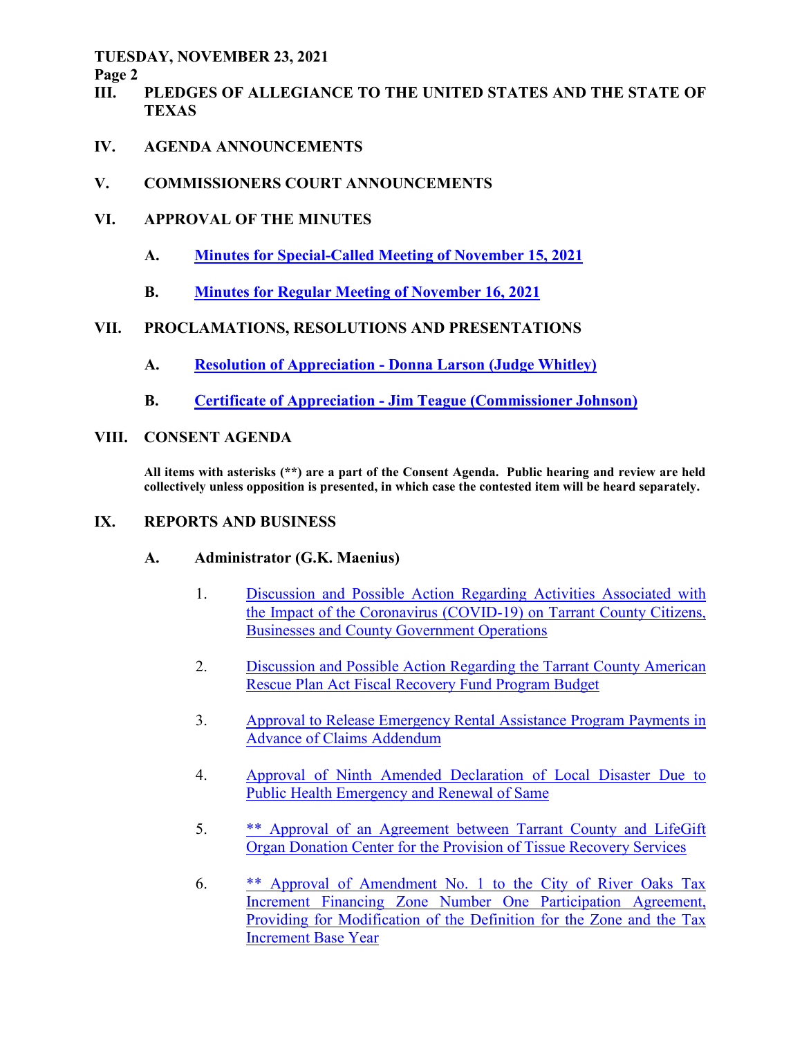**Page 2** 

- **III. PLEDGES OF ALLEGIANCE TO THE UNITED STATES AND THE STATE OF TEXAS**
- **IV. AGENDA ANNOUNCEMENTS**
- **V. COMMISSIONERS COURT ANNOUNCEMENTS**
- **VI. APPROVAL OF THE MINUTES** 
	- **A. Minutes for Special-Called Meeting of November 15, 2021**
	- **B. Minutes for Regular Meeting of November 16, 2021**

# **VII. PROCLAMATIONS, RESOLUTIONS AND PRESENTATIONS**

- **A. Resolution of Appreciation Donna Larson (Judge Whitley)**
- **B. Certificate of Appreciation Jim Teague (Commissioner Johnson)**
- **VIII. CONSENT AGENDA**

**All items with asterisks (\*\*) are a part of the Consent Agenda. Public hearing and review are held collectively unless opposition is presented, in which case the contested item will be heard separately.** 

# **IX. REPORTS AND BUSINESS**

# **A. Administrator (G.K. Maenius)**

- 1. Discussion and Possible Action Regarding Activities Associated with the Impact of the Coronavirus (COVID-19) on Tarrant County Citizens, Businesses and County Government Operations
- 2. Discussion and Possible Action Regarding the Tarrant County American Rescue Plan Act Fiscal Recovery Fund Program Budget
- 3. Approval to Release Emergency Rental Assistance Program Payments in Advance of Claims Addendum
- 4. Approval of Ninth Amended Declaration of Local Disaster Due to Public Health Emergency and Renewal of Same
- 5. \*\* Approval of an Agreement between Tarrant County and LifeGift Organ Donation Center for the Provision of Tissue Recovery Services
- 6. \*\* Approval of Amendment No. 1 to the City of River Oaks Tax Increment Financing Zone Number One Participation Agreement, Providing for Modification of the Definition for the Zone and the Tax Increment Base Year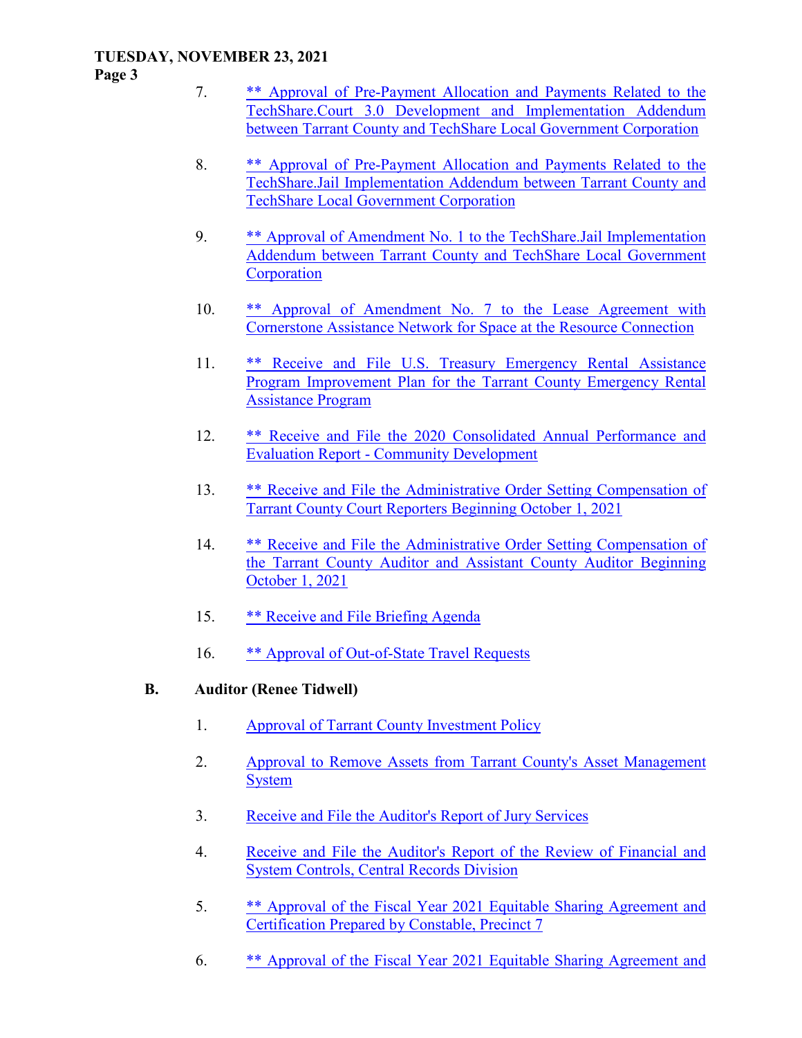**Page 3** 

- 7. \*\* Approval of Pre-Payment Allocation and Payments Related to the TechShare.Court 3.0 Development and Implementation Addendum between Tarrant County and TechShare Local Government Corporation
- 8. \*\* Approval of Pre-Payment Allocation and Payments Related to the TechShare.Jail Implementation Addendum between Tarrant County and TechShare Local Government Corporation
- 9. \*\* Approval of Amendment No. 1 to the TechShare.Jail Implementation Addendum between Tarrant County and TechShare Local Government **Corporation**
- 10. \*\* Approval of Amendment No. 7 to the Lease Agreement with Cornerstone Assistance Network for Space at the Resource Connection
- 11. \*\* Receive and File U.S. Treasury Emergency Rental Assistance Program Improvement Plan for the Tarrant County Emergency Rental Assistance Program
- 12. \*\* Receive and File the 2020 Consolidated Annual Performance and Evaluation Report - Community Development
- 13. \*\* Receive and File the Administrative Order Setting Compensation of Tarrant County Court Reporters Beginning October 1, 2021
- 14. \*\* Receive and File the Administrative Order Setting Compensation of the Tarrant County Auditor and Assistant County Auditor Beginning October 1, 2021
- 15. \*\* Receive and File Briefing Agenda
- 16. \*\* Approval of Out-of-State Travel Requests

## **B. Auditor (Renee Tidwell)**

- 1. Approval of Tarrant County Investment Policy
- 2. Approval to Remove Assets from Tarrant County's Asset Management **System**
- 3. Receive and File the Auditor's Report of Jury Services
- 4. Receive and File the Auditor's Report of the Review of Financial and System Controls, Central Records Division
- 5. \*\* Approval of the Fiscal Year 2021 Equitable Sharing Agreement and Certification Prepared by Constable, Precinct 7
- 6. \*\* Approval of the Fiscal Year 2021 Equitable Sharing Agreement and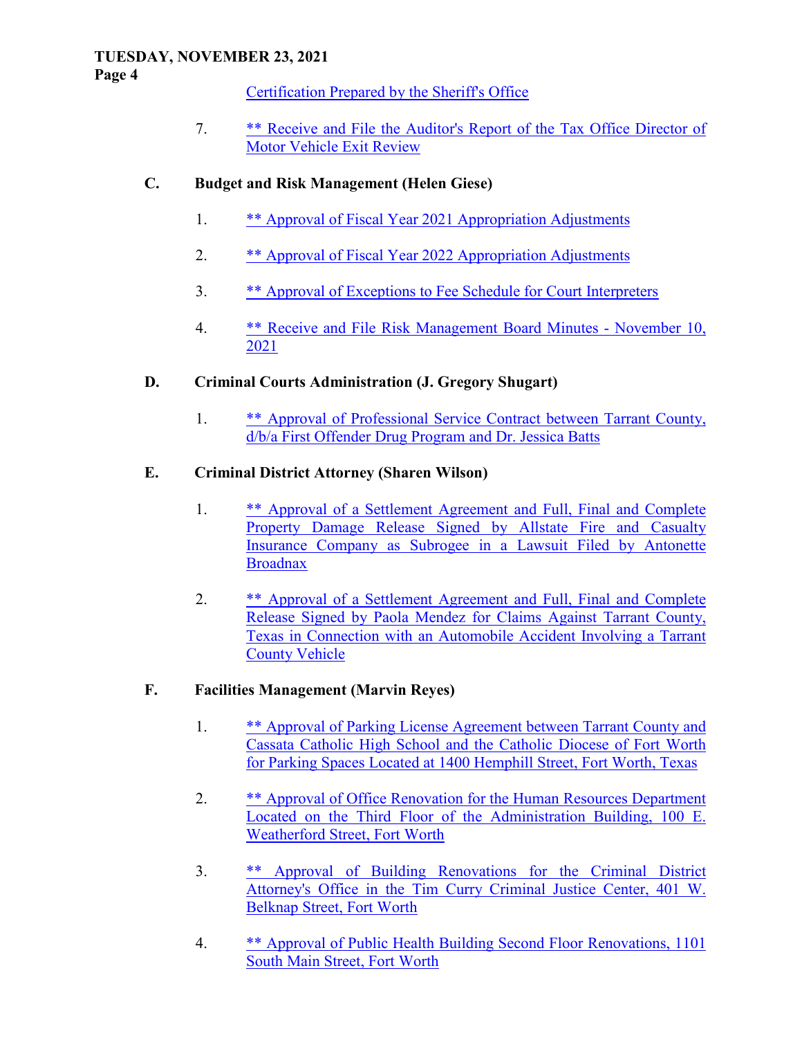**Page 4** 

Certification Prepared by the Sheriff's Office

 7. \*\* Receive and File the Auditor's Report of the Tax Office Director of Motor Vehicle Exit Review

### **C. Budget and Risk Management (Helen Giese)**

- 1. \*\* Approval of Fiscal Year 2021 Appropriation Adjustments
- 2. \*\* Approval of Fiscal Year 2022 Appropriation Adjustments
- 3. \*\* Approval of Exceptions to Fee Schedule for Court Interpreters
- 4. \*\* Receive and File Risk Management Board Minutes November 10, 2021

### **D. Criminal Courts Administration (J. Gregory Shugart)**

 1. \*\* Approval of Professional Service Contract between Tarrant County, d/b/a First Offender Drug Program and Dr. Jessica Batts

### **E. Criminal District Attorney (Sharen Wilson)**

- 1. \*\* Approval of a Settlement Agreement and Full, Final and Complete Property Damage Release Signed by Allstate Fire and Casualty Insurance Company as Subrogee in a Lawsuit Filed by Antonette **Broadnax**
- 2. \*\* Approval of a Settlement Agreement and Full, Final and Complete Release Signed by Paola Mendez for Claims Against Tarrant County, Texas in Connection with an Automobile Accident Involving a Tarrant County Vehicle

## **F. Facilities Management (Marvin Reyes)**

- 1. \*\* Approval of Parking License Agreement between Tarrant County and Cassata Catholic High School and the Catholic Diocese of Fort Worth for Parking Spaces Located at 1400 Hemphill Street, Fort Worth, Texas
- 2. \*\* Approval of Office Renovation for the Human Resources Department Located on the Third Floor of the Administration Building, 100 E. Weatherford Street, Fort Worth
- 3. \*\* Approval of Building Renovations for the Criminal District Attorney's Office in the Tim Curry Criminal Justice Center, 401 W. Belknap Street, Fort Worth
- 4. \*\* Approval of Public Health Building Second Floor Renovations, 1101 South Main Street, Fort Worth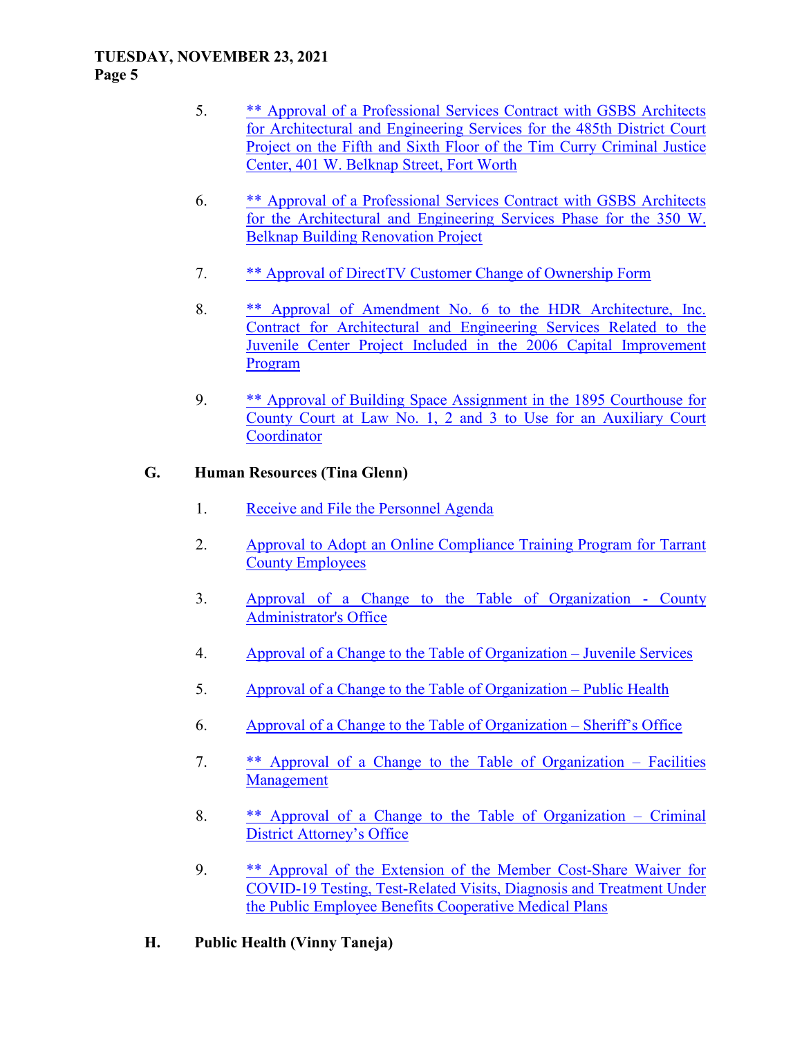#### **TUESDAY, NOVEMBER 23, 2021 Page 5**

- 5. \*\* Approval of a Professional Services Contract with GSBS Architects for Architectural and Engineering Services for the 485th District Court Project on the Fifth and Sixth Floor of the Tim Curry Criminal Justice Center, 401 W. Belknap Street, Fort Worth
- 6. \*\* Approval of a Professional Services Contract with GSBS Architects for the Architectural and Engineering Services Phase for the 350 W. Belknap Building Renovation Project
- 7. \*\* Approval of DirectTV Customer Change of Ownership Form
- 8. \*\* Approval of Amendment No. 6 to the HDR Architecture, Inc. Contract for Architectural and Engineering Services Related to the Juvenile Center Project Included in the 2006 Capital Improvement Program
- 9. \*\* Approval of Building Space Assignment in the 1895 Courthouse for County Court at Law No. 1, 2 and 3 to Use for an Auxiliary Court **Coordinator**

### **G. Human Resources (Tina Glenn)**

- 1. Receive and File the Personnel Agenda
- 2. Approval to Adopt an Online Compliance Training Program for Tarrant County Employees
- 3. Approval of a Change to the Table of Organization County Administrator's Office
- 4. Approval of a Change to the Table of Organization Juvenile Services
- 5. Approval of a Change to the Table of Organization Public Health
- 6. Approval of a Change to the Table of Organization Sheriff's Office
- 7. \*\* Approval of a Change to the Table of Organization Facilities Management
- 8. \*\* Approval of a Change to the Table of Organization Criminal District Attorney's Office
- 9. \*\* Approval of the Extension of the Member Cost-Share Waiver for COVID-19 Testing, Test-Related Visits, Diagnosis and Treatment Under the Public Employee Benefits Cooperative Medical Plans
- **H. Public Health (Vinny Taneja)**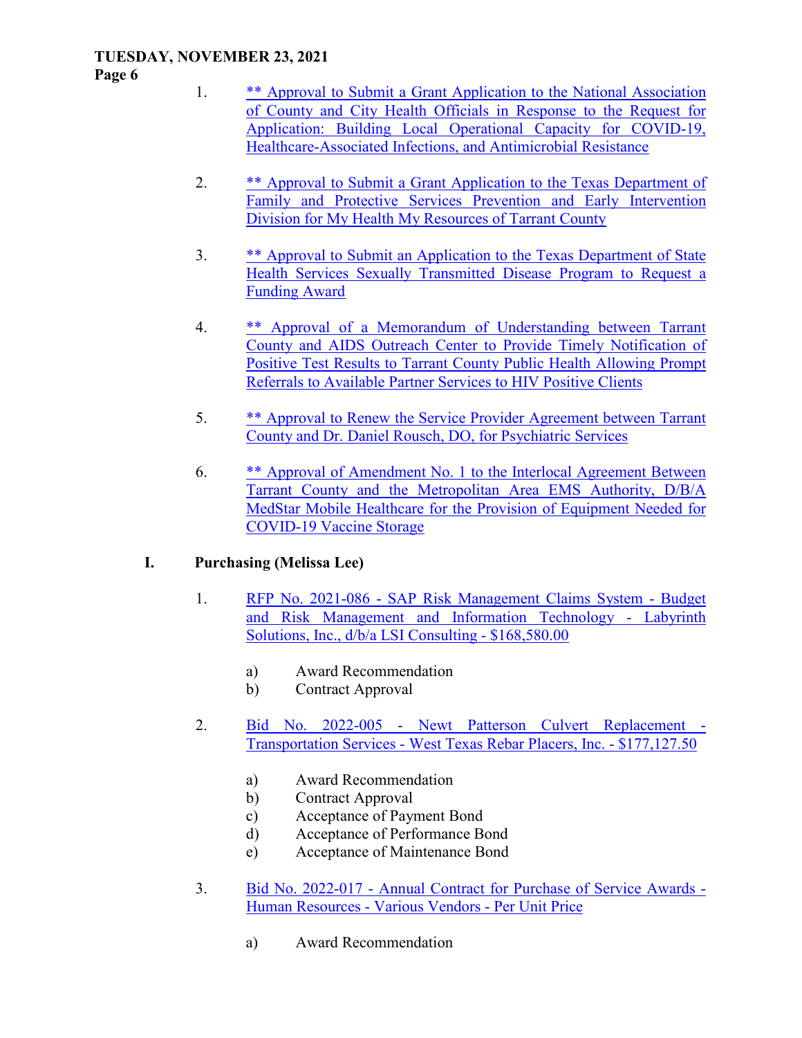#### **Page 6**

- 1. \*\* Approval to Submit a Grant Application to the National Association of County and City Health Officials in Response to the Request for Application: Building Local Operational Capacity for COVID-19, Healthcare-Associated Infections, and Antimicrobial Resistance
- 2. \*\* Approval to Submit a Grant Application to the Texas Department of Family and Protective Services Prevention and Early Intervention Division for My Health My Resources of Tarrant County
- 3. \*\* Approval to Submit an Application to the Texas Department of State Health Services Sexually Transmitted Disease Program to Request a Funding Award
- 4. \*\* Approval of a Memorandum of Understanding between Tarrant County and AIDS Outreach Center to Provide Timely Notification of Positive Test Results to Tarrant County Public Health Allowing Prompt Referrals to Available Partner Services to HIV Positive Clients
- 5. \*\* Approval to Renew the Service Provider Agreement between Tarrant County and Dr. Daniel Rousch, DO, for Psychiatric Services
- 6. \*\* Approval of Amendment No. 1 to the Interlocal Agreement Between Tarrant County and the Metropolitan Area EMS Authority, D/B/A MedStar Mobile Healthcare for the Provision of Equipment Needed for COVID-19 Vaccine Storage

## **I. Purchasing (Melissa Lee)**

- 1. RFP No. 2021-086 SAP Risk Management Claims System Budget and Risk Management and Information Technology - Labyrinth Solutions, Inc., d/b/a LSI Consulting - \$168,580.00
	- a) Award Recommendation
	- b) Contract Approval
- 2. Bid No. 2022-005 Newt Patterson Culvert Replacement Transportation Services - West Texas Rebar Placers, Inc. - \$177,127.50
	- a) Award Recommendation
	- b) Contract Approval
	- c) Acceptance of Payment Bond
	- d) Acceptance of Performance Bond
	- e) Acceptance of Maintenance Bond
- 3. Bid No. 2022-017 Annual Contract for Purchase of Service Awards Human Resources - Various Vendors - Per Unit Price
	- a) Award Recommendation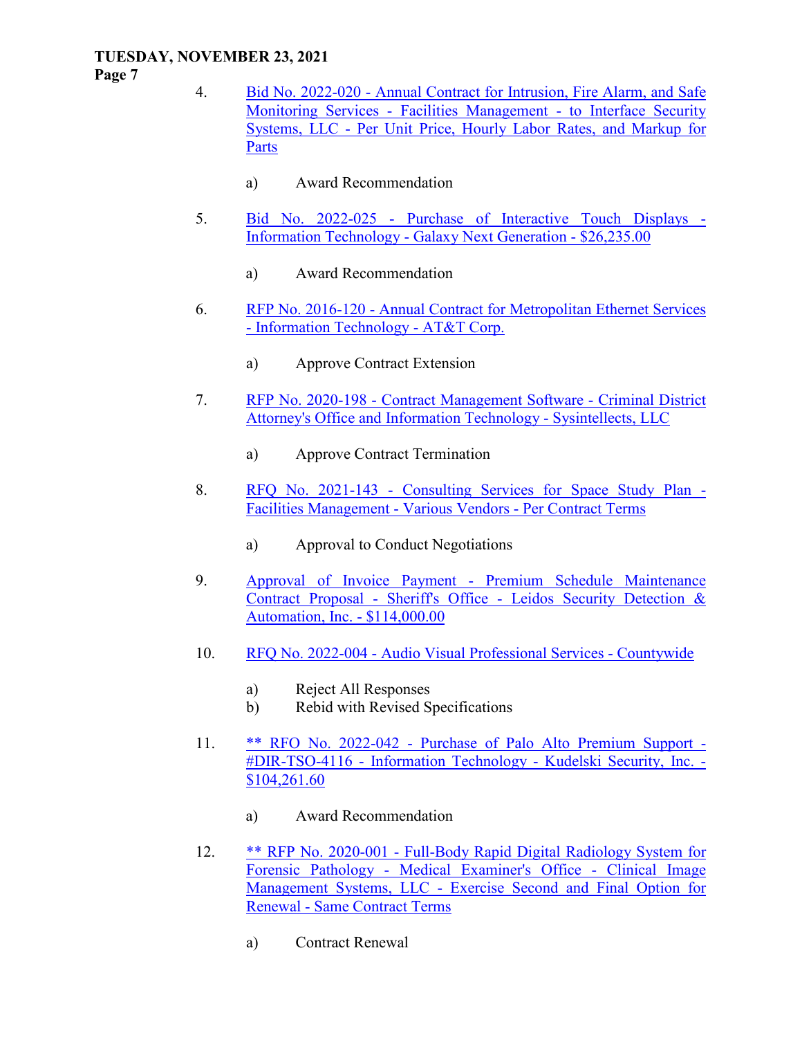**Page 7** 

- 4. Bid No. 2022-020 Annual Contract for Intrusion, Fire Alarm, and Safe Monitoring Services - Facilities Management - to Interface Security Systems, LLC - Per Unit Price, Hourly Labor Rates, and Markup for Parts
	- a) Award Recommendation
- 5. Bid No. 2022-025 Purchase of Interactive Touch Displays Information Technology - Galaxy Next Generation - \$26,235.00
	- a) Award Recommendation
- 6. RFP No. 2016-120 Annual Contract for Metropolitan Ethernet Services - Information Technology - AT&T Corp.
	- a) Approve Contract Extension
- 7. RFP No. 2020-198 Contract Management Software Criminal District Attorney's Office and Information Technology - Sysintellects, LLC
	- a) Approve Contract Termination
- 8. RFQ No. 2021-143 Consulting Services for Space Study Plan Facilities Management - Various Vendors - Per Contract Terms
	- a) Approval to Conduct Negotiations
- 9. Approval of Invoice Payment Premium Schedule Maintenance Contract Proposal - Sheriff's Office - Leidos Security Detection & Automation, Inc. - \$114,000.00
- 10. RFQ No. 2022-004 Audio Visual Professional Services Countywide
	- a) Reject All Responses
	- b) Rebid with Revised Specifications
- 11. \*\* RFO No. 2022-042 Purchase of Palo Alto Premium Support #DIR-TSO-4116 - Information Technology - Kudelski Security, Inc. - \$104,261.60
	- a) Award Recommendation
- 12. \*\* RFP No. 2020-001 Full-Body Rapid Digital Radiology System for Forensic Pathology - Medical Examiner's Office - Clinical Image Management Systems, LLC - Exercise Second and Final Option for Renewal - Same Contract Terms
	- a) Contract Renewal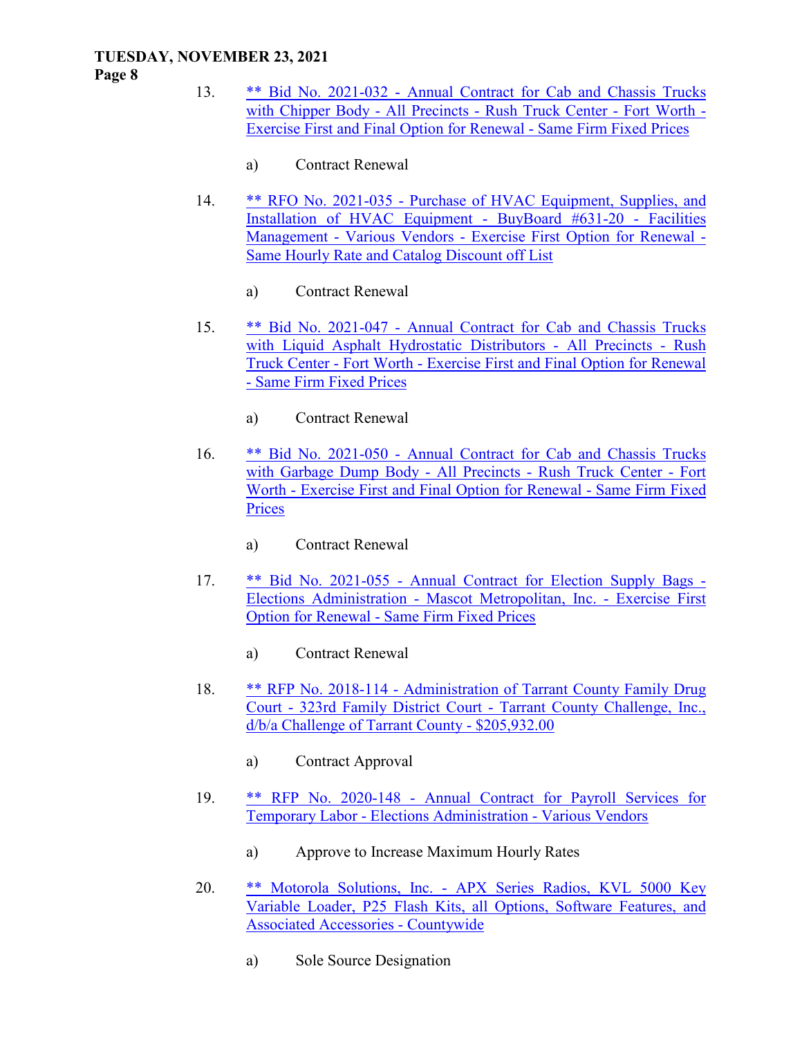#### **Page 8**

- 13. \*\* Bid No. 2021-032 Annual Contract for Cab and Chassis Trucks with Chipper Body - All Precincts - Rush Truck Center - Fort Worth - Exercise First and Final Option for Renewal - Same Firm Fixed Prices
	- a) Contract Renewal
- 14. \*\* RFO No. 2021-035 Purchase of HVAC Equipment, Supplies, and Installation of HVAC Equipment - BuyBoard #631-20 - Facilities Management - Various Vendors - Exercise First Option for Renewal - Same Hourly Rate and Catalog Discount off List
	- a) Contract Renewal
- 15. \*\* Bid No. 2021-047 Annual Contract for Cab and Chassis Trucks with Liquid Asphalt Hydrostatic Distributors - All Precincts - Rush Truck Center - Fort Worth - Exercise First and Final Option for Renewal - Same Firm Fixed Prices
	- a) Contract Renewal
- 16. \*\* Bid No. 2021-050 Annual Contract for Cab and Chassis Trucks with Garbage Dump Body - All Precincts - Rush Truck Center - Fort Worth - Exercise First and Final Option for Renewal - Same Firm Fixed **Prices** 
	- a) Contract Renewal
- 17. \*\* Bid No. 2021-055 Annual Contract for Election Supply Bags Elections Administration - Mascot Metropolitan, Inc. - Exercise First Option for Renewal - Same Firm Fixed Prices
	- a) Contract Renewal
- 18. \*\* RFP No. 2018-114 Administration of Tarrant County Family Drug Court - 323rd Family District Court - Tarrant County Challenge, Inc., d/b/a Challenge of Tarrant County - \$205,932.00
	- a) Contract Approval
- 19. \*\* RFP No. 2020-148 Annual Contract for Payroll Services for Temporary Labor - Elections Administration - Various Vendors
	- a) Approve to Increase Maximum Hourly Rates
- 20. \*\* Motorola Solutions, Inc. APX Series Radios, KVL 5000 Key Variable Loader, P25 Flash Kits, all Options, Software Features, and Associated Accessories - Countywide
	- a) Sole Source Designation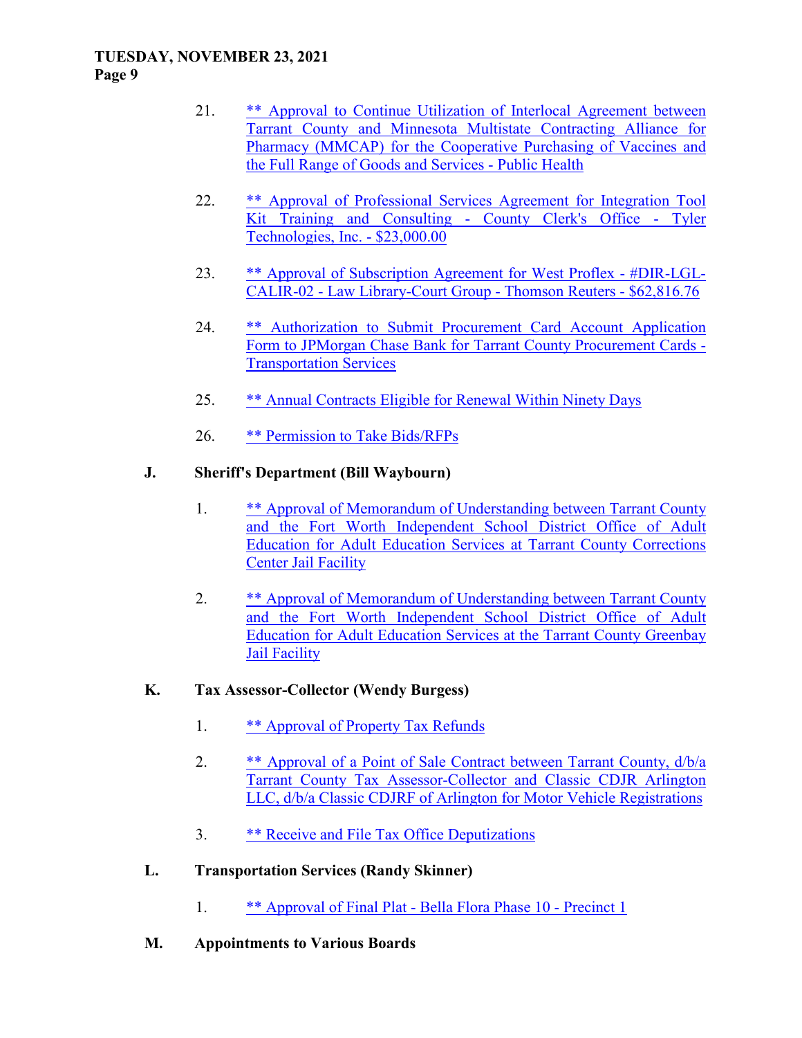#### **TUESDAY, NOVEMBER 23, 2021 Page 9**

- 21. \*\* Approval to Continue Utilization of Interlocal Agreement between Tarrant County and Minnesota Multistate Contracting Alliance for Pharmacy (MMCAP) for the Cooperative Purchasing of Vaccines and the Full Range of Goods and Services - Public Health
- 22. \*\* Approval of Professional Services Agreement for Integration Tool Kit Training and Consulting - County Clerk's Office - Tyler Technologies, Inc. - \$23,000.00
- 23. \*\* Approval of Subscription Agreement for West Proflex #DIR-LGL-CALIR-02 - Law Library-Court Group - Thomson Reuters - \$62,816.76
- 24. \*\* Authorization to Submit Procurement Card Account Application Form to JPMorgan Chase Bank for Tarrant County Procurement Cards - Transportation Services
- 25. \*\* Annual Contracts Eligible for Renewal Within Ninety Days
- 26. \*\* Permission to Take Bids/RFPs

### **J. Sheriff's Department (Bill Waybourn)**

- 1. \*\* Approval of Memorandum of Understanding between Tarrant County and the Fort Worth Independent School District Office of Adult Education for Adult Education Services at Tarrant County Corrections Center Jail Facility
- 2. \*\* Approval of Memorandum of Understanding between Tarrant County and the Fort Worth Independent School District Office of Adult Education for Adult Education Services at the Tarrant County Greenbay Jail Facility

### **K. Tax Assessor-Collector (Wendy Burgess)**

- 1. \*\* Approval of Property Tax Refunds
- 2. \*\* Approval of a Point of Sale Contract between Tarrant County,  $d/b/a$ Tarrant County Tax Assessor-Collector and Classic CDJR Arlington LLC, d/b/a Classic CDJRF of Arlington for Motor Vehicle Registrations
- 3. \*\* Receive and File Tax Office Deputizations
- **L. Transportation Services (Randy Skinner)** 
	- 1. \*\* Approval of Final Plat Bella Flora Phase 10 Precinct 1
- **M. Appointments to Various Boards**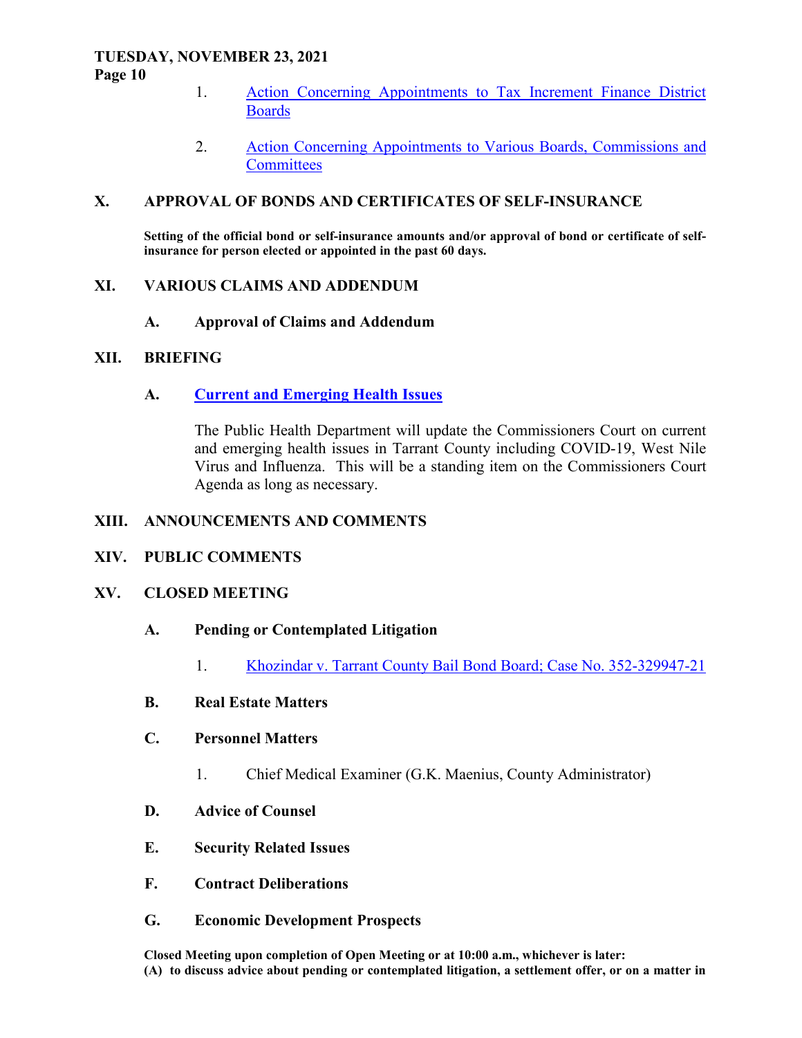#### **TUESDAY, NOVEMBER 23, 2021 Page 10**

- 1. Action Concerning Appointments to Tax Increment Finance District Boards
- 2. Action Concerning Appointments to Various Boards, Commissions and **Committees**

#### **X. APPROVAL OF BONDS AND CERTIFICATES OF SELF-INSURANCE**

**Setting of the official bond or self-insurance amounts and/or approval of bond or certificate of selfinsurance for person elected or appointed in the past 60 days.** 

#### **XI. VARIOUS CLAIMS AND ADDENDUM**

 **A. Approval of Claims and Addendum** 

#### **XII. BRIEFING**

### **A. Current and Emerging Health Issues**

The Public Health Department will update the Commissioners Court on current and emerging health issues in Tarrant County including COVID-19, West Nile Virus and Influenza. This will be a standing item on the Commissioners Court Agenda as long as necessary.

#### **XIII. ANNOUNCEMENTS AND COMMENTS**

#### **XIV. PUBLIC COMMENTS**

#### **XV. CLOSED MEETING**

#### **A. Pending or Contemplated Litigation**

1. Khozindar v. Tarrant County Bail Bond Board; Case No. 352-329947-21

### **B. Real Estate Matters**

- **C. Personnel Matters** 
	- 1. Chief Medical Examiner (G.K. Maenius, County Administrator)
- **D. Advice of Counsel**
- **E. Security Related Issues**
- **F. Contract Deliberations**
- **G. Economic Development Prospects**

**Closed Meeting upon completion of Open Meeting or at 10:00 a.m., whichever is later: (A) to discuss advice about pending or contemplated litigation, a settlement offer, or on a matter in**